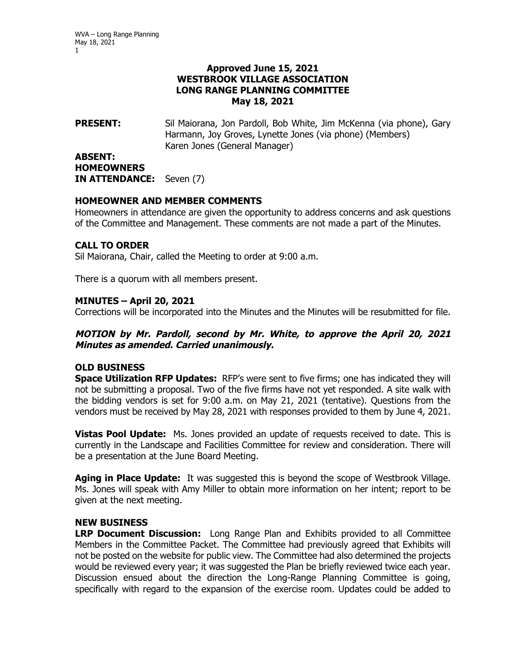### **Approved June 15, 2021 WESTBROOK VILLAGE ASSOCIATION LONG RANGE PLANNING COMMITTEE May 18, 2021**

**PRESENT:** Sil Maiorana, Jon Pardoll, Bob White, Jim McKenna (via phone), Gary Harmann, Joy Groves, Lynette Jones (via phone) (Members) Karen Jones (General Manager)

#### **ABSENT: HOMEOWNERS IN ATTENDANCE:** Seven (7)

### **HOMEOWNER AND MEMBER COMMENTS**

Homeowners in attendance are given the opportunity to address concerns and ask questions of the Committee and Management. These comments are not made a part of the Minutes.

# **CALL TO ORDER**

Sil Maiorana, Chair, called the Meeting to order at 9:00 a.m.

There is a quorum with all members present.

### **MINUTES – April 20, 2021**

Corrections will be incorporated into the Minutes and the Minutes will be resubmitted for file.

# **MOTION by Mr. Pardoll, second by Mr. White, to approve the April 20, 2021 Minutes as amended. Carried unanimously.**

### **OLD BUSINESS**

**Space Utilization RFP Updates:** RFP's were sent to five firms; one has indicated they will not be submitting a proposal. Two of the five firms have not yet responded. A site walk with the bidding vendors is set for 9:00 a.m. on May 21, 2021 (tentative). Questions from the vendors must be received by May 28, 2021 with responses provided to them by June 4, 2021.

**Vistas Pool Update:** Ms. Jones provided an update of requests received to date. This is currently in the Landscape and Facilities Committee for review and consideration. There will be a presentation at the June Board Meeting.

**Aging in Place Update:** It was suggested this is beyond the scope of Westbrook Village. Ms. Jones will speak with Amy Miller to obtain more information on her intent; report to be given at the next meeting.

### **NEW BUSINESS**

**LRP Document Discussion:** Long Range Plan and Exhibits provided to all Committee Members in the Committee Packet. The Committee had previously agreed that Exhibits will not be posted on the website for public view. The Committee had also determined the projects would be reviewed every year; it was suggested the Plan be briefly reviewed twice each year. Discussion ensued about the direction the Long-Range Planning Committee is going, specifically with regard to the expansion of the exercise room. Updates could be added to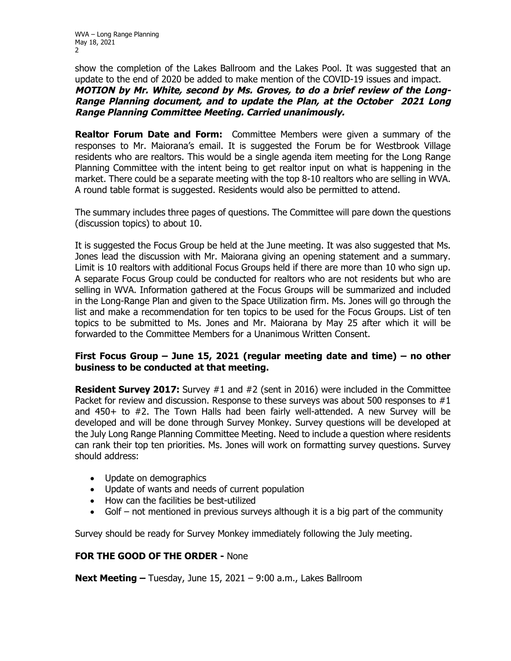show the completion of the Lakes Ballroom and the Lakes Pool. It was suggested that an update to the end of 2020 be added to make mention of the COVID-19 issues and impact.

**MOTION by Mr. White, second by Ms. Groves, to do a brief review of the Long-Range Planning document, and to update the Plan, at the October 2021 Long Range Planning Committee Meeting. Carried unanimously.** 

**Realtor Forum Date and Form:** Committee Members were given a summary of the responses to Mr. Maiorana's email. It is suggested the Forum be for Westbrook Village residents who are realtors. This would be a single agenda item meeting for the Long Range Planning Committee with the intent being to get realtor input on what is happening in the market. There could be a separate meeting with the top 8-10 realtors who are selling in WVA. A round table format is suggested. Residents would also be permitted to attend.

The summary includes three pages of questions. The Committee will pare down the questions (discussion topics) to about 10.

It is suggested the Focus Group be held at the June meeting. It was also suggested that Ms. Jones lead the discussion with Mr. Maiorana giving an opening statement and a summary. Limit is 10 realtors with additional Focus Groups held if there are more than 10 who sign up. A separate Focus Group could be conducted for realtors who are not residents but who are selling in WVA. Information gathered at the Focus Groups will be summarized and included in the Long-Range Plan and given to the Space Utilization firm. Ms. Jones will go through the list and make a recommendation for ten topics to be used for the Focus Groups. List of ten topics to be submitted to Ms. Jones and Mr. Maiorana by May 25 after which it will be forwarded to the Committee Members for a Unanimous Written Consent.

# **First Focus Group – June 15, 2021 (regular meeting date and time) – no other business to be conducted at that meeting.**

**Resident Survey 2017:** Survey #1 and #2 (sent in 2016) were included in the Committee Packet for review and discussion. Response to these surveys was about 500 responses to #1 and 450+ to #2. The Town Halls had been fairly well-attended. A new Survey will be developed and will be done through Survey Monkey. Survey questions will be developed at the July Long Range Planning Committee Meeting. Need to include a question where residents can rank their top ten priorities. Ms. Jones will work on formatting survey questions. Survey should address:

- Update on demographics
- Update of wants and needs of current population
- How can the facilities be best-utilized
- Golf not mentioned in previous surveys although it is a big part of the community

Survey should be ready for Survey Monkey immediately following the July meeting.

### **FOR THE GOOD OF THE ORDER -** None

**Next Meeting –** Tuesday, June 15, 2021 – 9:00 a.m., Lakes Ballroom